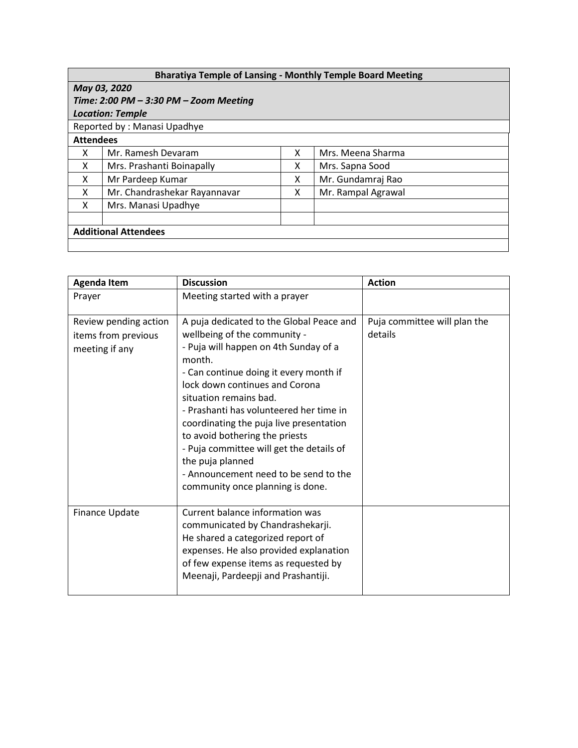| <b>Bharatiya Temple of Lansing - Monthly Temple Board Meeting</b> |                              |   |                    |  |  |  |
|-------------------------------------------------------------------|------------------------------|---|--------------------|--|--|--|
| May 03, 2020                                                      |                              |   |                    |  |  |  |
| Time: 2:00 PM $-$ 3:30 PM $-$ Zoom Meeting                        |                              |   |                    |  |  |  |
| <b>Location: Temple</b>                                           |                              |   |                    |  |  |  |
| Reported by: Manasi Upadhye                                       |                              |   |                    |  |  |  |
| <b>Attendees</b>                                                  |                              |   |                    |  |  |  |
| x                                                                 | Mr. Ramesh Devaram           | X | Mrs. Meena Sharma  |  |  |  |
| X                                                                 | Mrs. Prashanti Boinapally    | X | Mrs. Sapna Sood    |  |  |  |
| X                                                                 | Mr Pardeep Kumar             | x | Mr. Gundamraj Rao  |  |  |  |
| X                                                                 | Mr. Chandrashekar Rayannavar | x | Mr. Rampal Agrawal |  |  |  |
| X                                                                 | Mrs. Manasi Upadhye          |   |                    |  |  |  |
|                                                                   |                              |   |                    |  |  |  |
| <b>Additional Attendees</b>                                       |                              |   |                    |  |  |  |
|                                                                   |                              |   |                    |  |  |  |

| <b>Agenda Item</b>                                             | <b>Discussion</b>                                                                                                                                                                                                                                                                                                                                                                                                                                                                                      | <b>Action</b>                           |
|----------------------------------------------------------------|--------------------------------------------------------------------------------------------------------------------------------------------------------------------------------------------------------------------------------------------------------------------------------------------------------------------------------------------------------------------------------------------------------------------------------------------------------------------------------------------------------|-----------------------------------------|
| Prayer                                                         | Meeting started with a prayer                                                                                                                                                                                                                                                                                                                                                                                                                                                                          |                                         |
| Review pending action<br>items from previous<br>meeting if any | A puja dedicated to the Global Peace and<br>wellbeing of the community -<br>- Puja will happen on 4th Sunday of a<br>month.<br>- Can continue doing it every month if<br>lock down continues and Corona<br>situation remains bad.<br>- Prashanti has volunteered her time in<br>coordinating the puja live presentation<br>to avoid bothering the priests<br>- Puja committee will get the details of<br>the puja planned<br>- Announcement need to be send to the<br>community once planning is done. | Puja committee will plan the<br>details |
| Finance Update                                                 | Current balance information was<br>communicated by Chandrashekarji.<br>He shared a categorized report of<br>expenses. He also provided explanation<br>of few expense items as requested by<br>Meenaji, Pardeepji and Prashantiji.                                                                                                                                                                                                                                                                      |                                         |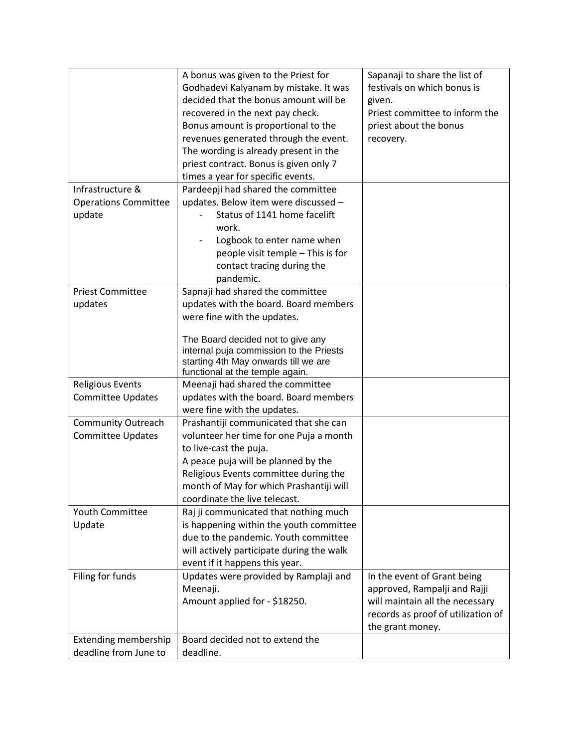| festivals on which bonus is<br>Godhadevi Kalyanam by mistake. It was                     |  |
|------------------------------------------------------------------------------------------|--|
|                                                                                          |  |
| decided that the bonus amount will be<br>given.                                          |  |
| recovered in the next pay check.<br>Priest committee to inform the                       |  |
| priest about the bonus<br>Bonus amount is proportional to the                            |  |
| revenues generated through the event.<br>recovery.                                       |  |
| The wording is already present in the                                                    |  |
| priest contract. Bonus is given only 7                                                   |  |
| times a year for specific events.                                                        |  |
| Infrastructure &<br>Pardeepji had shared the committee                                   |  |
| <b>Operations Committee</b><br>updates. Below item were discussed -                      |  |
| Status of 1141 home facelift<br>update                                                   |  |
| work.                                                                                    |  |
| Logbook to enter name when                                                               |  |
| people visit temple - This is for                                                        |  |
|                                                                                          |  |
| contact tracing during the<br>pandemic.                                                  |  |
|                                                                                          |  |
| <b>Priest Committee</b><br>Sapnaji had shared the committee                              |  |
| updates with the board. Board members<br>updates                                         |  |
| were fine with the updates.                                                              |  |
| The Board decided not to give any                                                        |  |
| internal puja commission to the Priests                                                  |  |
| starting 4th May onwards till we are                                                     |  |
| functional at the temple again.                                                          |  |
| <b>Religious Events</b><br>Meenaji had shared the committee                              |  |
| updates with the board. Board members<br><b>Committee Updates</b>                        |  |
| were fine with the updates.                                                              |  |
| Community Outreach<br>Prashantiji communicated that she can                              |  |
| <b>Committee Updates</b><br>volunteer her time for one Puja a month                      |  |
| to live-cast the puja.                                                                   |  |
| A peace puja will be planned by the                                                      |  |
| Religious Events committee during the                                                    |  |
| month of May for which Prashantiji will                                                  |  |
| coordinate the live telecast.                                                            |  |
| Youth Committee<br>Raj ji communicated that nothing much                                 |  |
| is happening within the youth committee<br>Update                                        |  |
| due to the pandemic. Youth committee                                                     |  |
| will actively participate during the walk                                                |  |
| event if it happens this year.                                                           |  |
| Filing for funds<br>Updates were provided by Ramplaji and<br>In the event of Grant being |  |
| Meenaji.<br>approved, Rampalji and Rajji                                                 |  |
| Amount applied for - \$18250.<br>will maintain all the necessary                         |  |
| records as proof of utilization of                                                       |  |
| the grant money.                                                                         |  |
| Extending membership<br>Board decided not to extend the                                  |  |
| deadline from June to<br>deadline.                                                       |  |